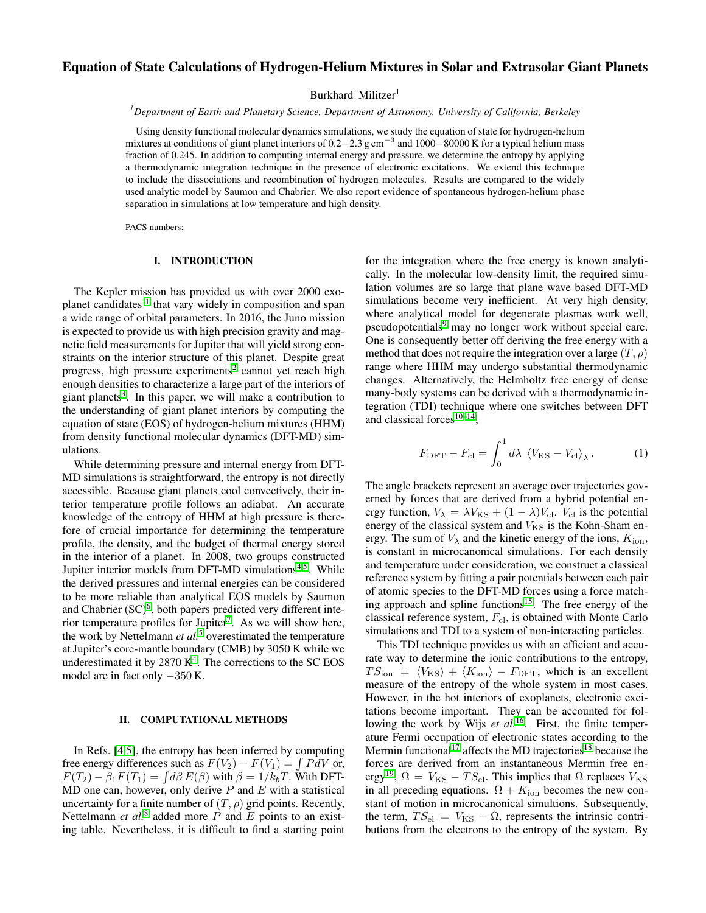# Equation of State Calculations of Hydrogen-Helium Mixtures in Solar and Extrasolar Giant Planets

Burkhard Militzer<sup>1</sup>

*<sup>1</sup>Department of Earth and Planetary Science, Department of Astronomy, University of California, Berkeley*

Using density functional molecular dynamics simulations, we study the equation of state for hydrogen-helium mixtures at conditions of giant planet interiors of 0.2–2.3 g cm<sup>-3</sup> and 1000–80000 K for a typical helium mass fraction of 0.245. In addition to computing internal energy and pressure, we determine the entropy by applying a thermodynamic integration technique in the presence of electronic excitations. We extend this technique to include the dissociations and recombination of hydrogen molecules. Results are compared to the widely used analytic model by Saumon and Chabrier. We also report evidence of spontaneous hydrogen-helium phase separation in simulations at low temperature and high density.

PACS numbers:

### I. INTRODUCTION

The Kepler mission has provided us with over 2000 exo-planet candidates <sup>[1](#page-3-0)</sup> that vary widely in composition and span a wide range of orbital parameters. In 2016, the Juno mission is expected to provide us with high precision gravity and magnetic field measurements for Jupiter that will yield strong constraints on the interior structure of this planet. Despite great progress, high pressure experiments<sup>[2](#page-3-1)</sup> cannot yet reach high enough densities to characterize a large part of the interiors of giant planets<sup>[3](#page-4-0)</sup>. In this paper, we will make a contribution to the understanding of giant planet interiors by computing the equation of state (EOS) of hydrogen-helium mixtures (HHM) from density functional molecular dynamics (DFT-MD) simulations.

While determining pressure and internal energy from DFT-MD simulations is straightforward, the entropy is not directly accessible. Because giant planets cool convectively, their interior temperature profile follows an adiabat. An accurate knowledge of the entropy of HHM at high pressure is therefore of crucial importance for determining the temperature profile, the density, and the budget of thermal energy stored in the interior of a planet. In 2008, two groups constructed Jupiter interior models from DFT-MD simulations<sup>[4](#page-4-1)[,5](#page-4-2)</sup>. While the derived pressures and internal energies can be considered to be more reliable than analytical EOS models by Saumon and Chabrier  $(SC)^6$  $(SC)^6$ , both papers predicted very different inte-rior temperature profiles for Jupiter<sup>[7](#page-4-4)</sup>. As we will show here, the work by Nettelmann *et al.*[5](#page-4-2) overestimated the temperature at Jupiter's core-mantle boundary (CMB) by 3050 K while we underestimated it by  $2870 K<sup>4</sup>$  $2870 K<sup>4</sup>$  $2870 K<sup>4</sup>$ . The corrections to the SC EOS model are in fact only −350 K.

### II. COMPUTATIONAL METHODS

In Refs. [\[4,](#page-4-1)[5\]](#page-4-2), the entropy has been inferred by computing free energy differences such as  $F(V_2) - F(V_1) = \int P dV$  or,  $F(T_2) - \beta_1 F(T_1) = \int d\beta E(\beta)$  with  $\beta = 1/k_bT$ . With DFT-MD one can, however, only derive  $P$  and  $E$  with a statistical uncertainty for a finite number of  $(T, \rho)$  grid points. Recently, Nettelmann *et al.*<sup>[8](#page-4-5)</sup> added more  $\overline{P}$  and  $\overline{E}$  points to an existing table. Nevertheless, it is difficult to find a starting point

for the integration where the free energy is known analytically. In the molecular low-density limit, the required simulation volumes are so large that plane wave based DFT-MD simulations become very inefficient. At very high density, where analytical model for degenerate plasmas work well, pseudopotentials<sup>[9](#page-4-6)</sup> may no longer work without special care. One is consequently better off deriving the free energy with a method that does not require the integration over a large  $(T, \rho)$ range where HHM may undergo substantial thermodynamic changes. Alternatively, the Helmholtz free energy of dense many-body systems can be derived with a thermodynamic integration (TDI) technique where one switches between DFT and classical forces $10-14$  $10-14$ ,

$$
F_{\rm DFT} - F_{\rm cl} = \int_0^1 d\lambda \, \left\langle V_{\rm KS} - V_{\rm cl} \right\rangle_{\lambda} . \tag{1}
$$

The angle brackets represent an average over trajectories governed by forces that are derived from a hybrid potential energy function,  $V_{\lambda} = \lambda V_{\text{KS}} + (1 - \lambda) V_{\text{cl}}$ .  $V_{\text{cl}}$  is the potential energy of the classical system and  $V_{\text{KS}}$  is the Kohn-Sham energy. The sum of  $V_{\lambda}$  and the kinetic energy of the ions,  $K_{\text{ion}}$ , is constant in microcanonical simulations. For each density and temperature under consideration, we construct a classical reference system by fitting a pair potentials between each pair of atomic species to the DFT-MD forces using a force match-ing approach and spline functions<sup>[15](#page-4-9)</sup>. The free energy of the classical reference system,  $F_{\text{cl}}$ , is obtained with Monte Carlo simulations and TDI to a system of non-interacting particles.

This TDI technique provides us with an efficient and accurate way to determine the ionic contributions to the entropy,  $TS_{\text{ion}} = \langle V_{\text{KS}} \rangle + \langle K_{\text{ion}} \rangle - F_{\text{DFT}}$ , which is an excellent measure of the entropy of the whole system in most cases. However, in the hot interiors of exoplanets, electronic excitations become important. They can be accounted for fol-lowing the work by Wijs et al.<sup>[16](#page-4-10)</sup>. First, the finite temperature Fermi occupation of electronic states according to the Mermin functional<sup>[17](#page-4-11)</sup> affects the MD trajectories<sup>[18](#page-4-12)</sup> because the forces are derived from an instantaneous Mermin free en-ergy<sup>[19](#page-4-13)</sup>,  $\Omega = V_{\rm KS} - TS_{\rm el}$ . This implies that  $\Omega$  replaces  $V_{\rm KS}$ in all preceding equations.  $\Omega + K_{\text{ion}}$  becomes the new constant of motion in microcanonical simultions. Subsequently, the term,  $TS_{el} = V_{KS} - \Omega$ , represents the intrinsic contributions from the electrons to the entropy of the system. By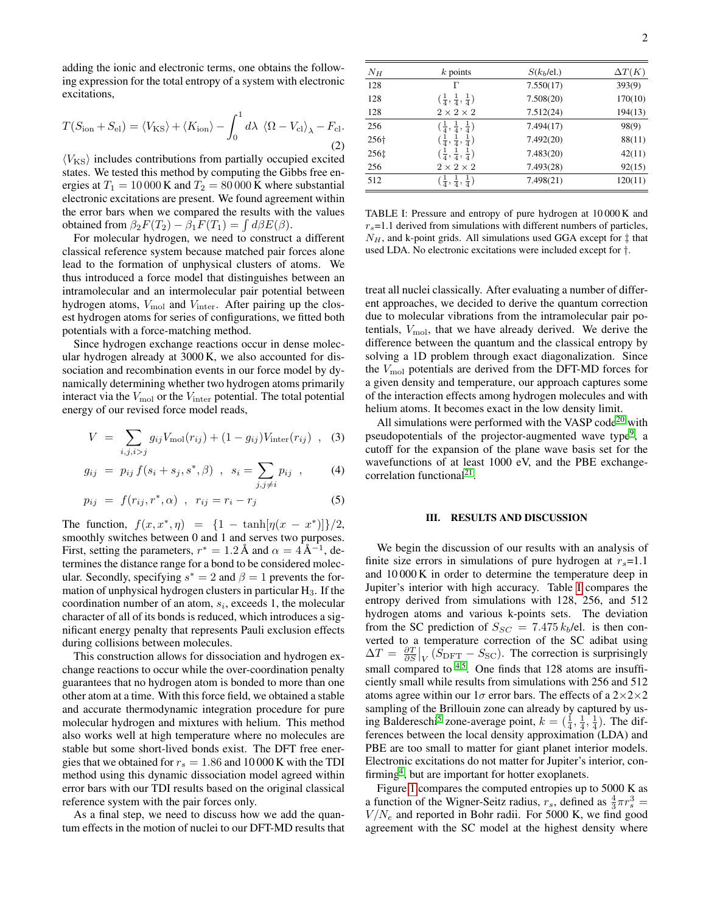adding the ionic and electronic terms, one obtains the following expression for the total entropy of a system with electronic excitations,

$$
T(S_{\text{ion}} + S_{\text{el}}) = \langle V_{\text{KS}} \rangle + \langle K_{\text{ion}} \rangle - \int_0^1 d\lambda \ \langle \Omega - V_{\text{cl}} \rangle_{\lambda} - F_{\text{cl}}.
$$
\n(2)

 $\langle V_{\rm KS} \rangle$  includes contributions from partially occupied excited states. We tested this method by computing the Gibbs free energies at  $T_1 = 10000$  K and  $T_2 = 80000$  K where substantial electronic excitations are present. We found agreement within the error bars when we compared the results with the values obtained from  $\beta_2 F(T_2) - \beta_1 F(T_1) = \int d\beta E(\beta)$ .

For molecular hydrogen, we need to construct a different classical reference system because matched pair forces alone lead to the formation of unphysical clusters of atoms. We thus introduced a force model that distinguishes between an intramolecular and an intermolecular pair potential between hydrogen atoms,  $V_{\text{mol}}$  and  $V_{\text{inter}}$ . After pairing up the closest hydrogen atoms for series of configurations, we fitted both potentials with a force-matching method.

Since hydrogen exchange reactions occur in dense molecular hydrogen already at 3000 K, we also accounted for dissociation and recombination events in our force model by dynamically determining whether two hydrogen atoms primarily interact via the  $V_{\text{mol}}$  or the  $V_{\text{inter}}$  potential. The total potential energy of our revised force model reads,

$$
V = \sum_{i,j,i>j} g_{ij} V_{\text{mol}}(r_{ij}) + (1 - g_{ij}) V_{\text{inter}}(r_{ij}) , \quad (3)
$$

$$
g_{ij} = p_{ij} f(s_i + s_j, s^*, \beta) , s_i = \sum_{j, j \neq i} p_{ij} ,
$$
 (4)

$$
p_{ij} = f(r_{ij}, r^*, \alpha) , r_{ij} = r_i - r_j
$$
 (5)

The function,  $f(x, x^*, \eta) = \{1 - \tanh[\eta(x - x^*)]\}/2$ , smoothly switches between 0 and 1 and serves two purposes. First, setting the parameters,  $r^* = 1.2 \text{ Å}$  and  $\alpha = 4 \text{ Å}^{-1}$ , determines the distance range for a bond to be considered molecular. Secondly, specifying  $s^* = 2$  and  $\beta = 1$  prevents the formation of unphysical hydrogen clusters in particular  $H_3$ . If the coordination number of an atom,  $s_i$ , exceeds 1, the molecular character of all of its bonds is reduced, which introduces a significant energy penalty that represents Pauli exclusion effects during collisions between molecules.

This construction allows for dissociation and hydrogen exchange reactions to occur while the over-coordination penalty guarantees that no hydrogen atom is bonded to more than one other atom at a time. With this force field, we obtained a stable and accurate thermodynamic integration procedure for pure molecular hydrogen and mixtures with helium. This method also works well at high temperature where no molecules are stable but some short-lived bonds exist. The DFT free energies that we obtained for  $r_s = 1.86$  and 10 000 K with the TDI method using this dynamic dissociation model agreed within error bars with our TDI results based on the original classical reference system with the pair forces only.

As a final step, we need to discuss how we add the quantum effects in the motion of nuclei to our DFT-MD results that

| $N_H$ | $k$ points                                | $S(k_b/\text{el.})$ | $\Delta T(K)$ |
|-------|-------------------------------------------|---------------------|---------------|
| 128   | Г                                         | 7.550(17)           | 393(9)        |
| 128   | $(\frac{1}{4}, \frac{1}{4}, \frac{1}{4})$ | 7.508(20)           | 170(10)       |
| 128   | $2 \times 2 \times 2$                     | 7.512(24)           | 194(13)       |
| 256   | $(\frac{1}{4}, \frac{1}{4}, \frac{1}{4})$ | 7.494(17)           | 98(9)         |
| 256†  | $(\frac{1}{4}, \frac{1}{4}, \frac{1}{4})$ | 7.492(20)           | 88(11)        |
| 256‡  | $(\frac{1}{4}, \frac{1}{4}, \frac{1}{4})$ | 7.483(20)           | 42(11)        |
| 256   | $2 \times 2 \times 2$                     | 7.493(28)           | 92(15)        |
| 512   | $(\frac{1}{4}, \frac{1}{4}, \frac{1}{4})$ | 7.498(21)           | 120(11)       |

<span id="page-1-0"></span>TABLE I: Pressure and entropy of pure hydrogen at 10 000 K and  $r<sub>s</sub>=1.1$  derived from simulations with different numbers of particles,  $N_H$ , and k-point grids. All simulations used GGA except for  $\ddagger$  that used LDA. No electronic excitations were included except for †.

treat all nuclei classically. After evaluating a number of different approaches, we decided to derive the quantum correction due to molecular vibrations from the intramolecular pair potentials,  $V_{\text{mol}}$ , that we have already derived. We derive the difference between the quantum and the classical entropy by solving a 1D problem through exact diagonalization. Since the  $V_{\text{mol}}$  potentials are derived from the DFT-MD forces for a given density and temperature, our approach captures some of the interaction effects among hydrogen molecules and with helium atoms. It becomes exact in the low density limit.

All simulations were performed with the VASP code<sup>[20](#page-4-14)</sup> with pseudopotentials of the projector-augmented wave type<sup>[9](#page-4-6)</sup>, a cutoff for the expansion of the plane wave basis set for the wavefunctions of at least 1000 eV, and the PBE exchange-correlation functional<sup>[21](#page-4-15)</sup>.

## III. RESULTS AND DISCUSSION

We begin the discussion of our results with an analysis of finite size errors in simulations of pure hydrogen at  $r_s=1.1$ and 10 000 K in order to determine the temperature deep in Jupiter's interior with high accuracy. Table [I](#page-1-0) compares the entropy derived from simulations with 128, 256, and 512 hydrogen atoms and various k-points sets. The deviation from the SC prediction of  $S_{SC} = 7.475 k_b/e$ l. is then converted to a temperature correction of the SC adibat using  $\Delta T = \frac{\partial T}{\partial S}\big|_V (\dot{S}_{\text{DFT}} - S_{\text{SC}})$ . The correction is surprisingly small compared to  $4.5$  $4.5$ . One finds that 128 atoms are insufficiently small while results from simulations with 256 and 512 atoms agree within our  $1\sigma$  error bars. The effects of a  $2\times2\times2$ sampling of the Brillouin zone can already by captured by us-ing Baldereschi<sup>[5](#page-4-2)</sup> zone-average point,  $k = (\frac{1}{4}, \frac{1}{4}, \frac{1}{4})$ . The differences between the local density approximation (LDA) and PBE are too small to matter for giant planet interior models. Electronic excitations do not matter for Jupiter's interior, con-firming<sup>[4](#page-4-1)</sup>, but are important for hotter exoplanets.

Figure [1](#page-2-0) compares the computed entropies up to 5000 K as a function of the Wigner-Seitz radius,  $r_s$ , defined as  $\frac{4}{3}\pi r_s^3$  =  $V/N_e$  and reported in Bohr radii. For 5000 K, we find good agreement with the SC model at the highest density where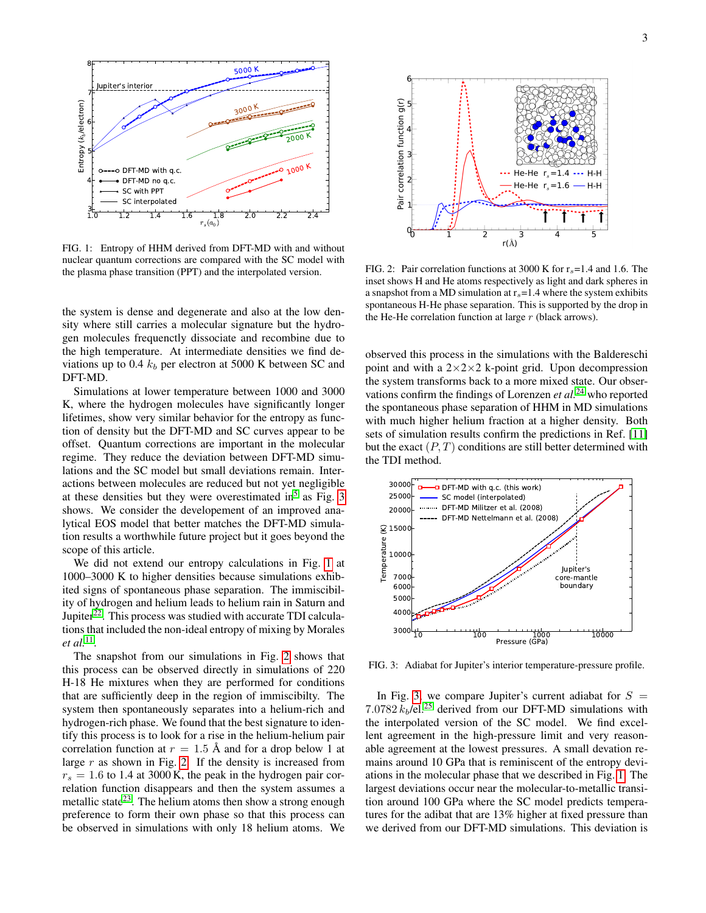

<span id="page-2-0"></span>FIG. 1: Entropy of HHM derived from DFT-MD with and without nuclear quantum corrections are compared with the SC model with the plasma phase transition (PPT) and the interpolated version.

the system is dense and degenerate and also at the low density where still carries a molecular signature but the hydrogen molecules frequenctly dissociate and recombine due to the high temperature. At intermediate densities we find deviations up to 0.4  $k_b$  per electron at 5000 K between SC and DFT-MD.

Simulations at lower temperature between 1000 and 3000 K, where the hydrogen molecules have significantly longer lifetimes, show very similar behavior for the entropy as function of density but the DFT-MD and SC curves appear to be offset. Quantum corrections are important in the molecular regime. They reduce the deviation between DFT-MD simulations and the SC model but small deviations remain. Interactions between molecules are reduced but not yet negligible at these densities but they were overestimated in<sup>[5](#page-4-2)</sup> as Fig. [3](#page-2-1) shows. We consider the developement of an improved analytical EOS model that better matches the DFT-MD simulation results a worthwhile future project but it goes beyond the scope of this article.

We did not extend our entropy calculations in Fig. [1](#page-2-0) at 1000–3000 K to higher densities because simulations exhibited signs of spontaneous phase separation. The immiscibility of hydrogen and helium leads to helium rain in Saturn and Jupiter $^{22}$  $^{22}$  $^{22}$ . This process was studied with accurate TDI calculations that included the non-ideal entropy of mixing by Morales *et al.*[11](#page-4-17) .

The snapshot from our simulations in Fig. [2](#page-2-2) shows that this process can be observed directly in simulations of 220 H-18 He mixtures when they are performed for conditions that are sufficiently deep in the region of immiscibilty. The system then spontaneously separates into a helium-rich and hydrogen-rich phase. We found that the best signature to identify this process is to look for a rise in the helium-helium pair correlation function at  $r = 1.5 \text{ Å}$  and for a drop below 1 at large  $r$  as shown in Fig. [2.](#page-2-2) If the density is increased from  $r_s = 1.6$  to 1.4 at 3000 K, the peak in the hydrogen pair correlation function disappears and then the system assumes a metallic state<sup>[23](#page-4-18)</sup>. The helium atoms then show a strong enough preference to form their own phase so that this process can be observed in simulations with only 18 helium atoms. We



<span id="page-2-2"></span>FIG. 2: Pair correlation functions at 3000 K for  $r_s = 1.4$  and 1.6. The inset shows H and He atoms respectively as light and dark spheres in a snapshot from a MD simulation at  $r_s$ =1.4 where the system exhibits spontaneous H-He phase separation. This is supported by the drop in the He-He correlation function at large  $r$  (black arrows).

observed this process in the simulations with the Baldereschi point and with a  $2 \times 2 \times 2$  k-point grid. Upon decompression the system transforms back to a more mixed state. Our observations confirm the findings of Lorenzen *et al.*[24](#page-4-19) who reported the spontaneous phase separation of HHM in MD simulations with much higher helium fraction at a higher density. Both sets of simulation results confirm the predictions in Ref. [\[11\]](#page-4-17) but the exact  $(P, T)$  conditions are still better determined with the TDI method.



<span id="page-2-1"></span>FIG. 3: Adiabat for Jupiter's interior temperature-pressure profile.

In Fig. [3,](#page-2-1) we compare Jupiter's current adiabat for  $S =$ 7.0782  $k_b$ /el.<sup>[25](#page-4-20)</sup> derived from our DFT-MD simulations with the interpolated version of the SC model. We find excellent agreement in the high-pressure limit and very reasonable agreement at the lowest pressures. A small devation remains around 10 GPa that is reminiscent of the entropy deviations in the molecular phase that we described in Fig. [1.](#page-2-0) The largest deviations occur near the molecular-to-metallic transition around 100 GPa where the SC model predicts temperatures for the adibat that are 13% higher at fixed pressure than we derived from our DFT-MD simulations. This deviation is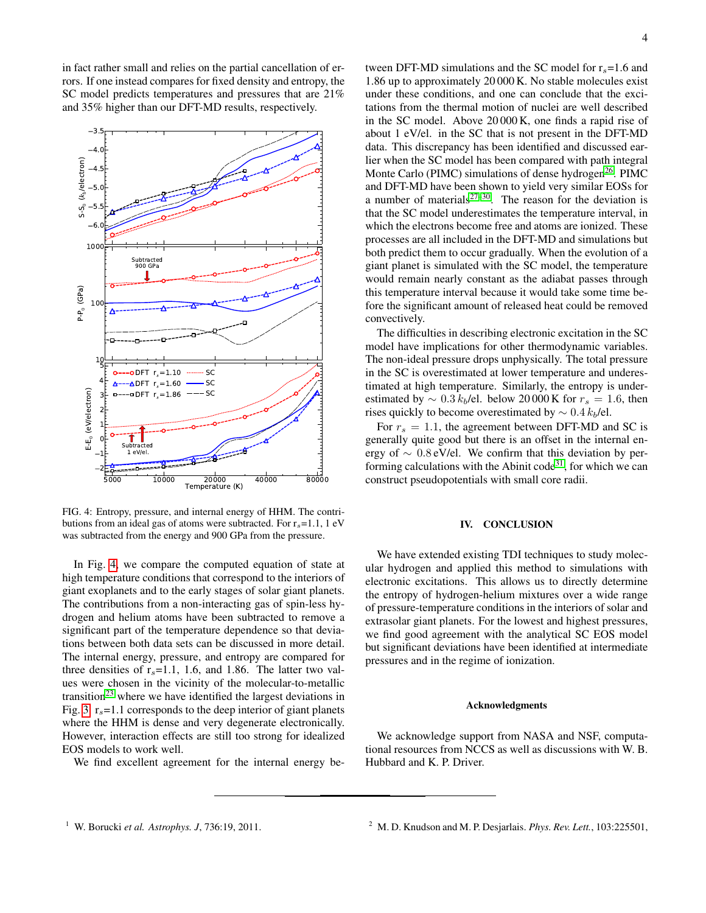in fact rather small and relies on the partial cancellation of errors. If one instead compares for fixed density and entropy, the SC model predicts temperatures and pressures that are 21% and 35% higher than our DFT-MD results, respectively.



<span id="page-3-2"></span>FIG. 4: Entropy, pressure, and internal energy of HHM. The contributions from an ideal gas of atoms were subtracted. For  $r_s$ =1.1, 1 eV was subtracted from the energy and 900 GPa from the pressure.

In Fig. [4,](#page-3-2) we compare the computed equation of state at high temperature conditions that correspond to the interiors of giant exoplanets and to the early stages of solar giant planets. The contributions from a non-interacting gas of spin-less hydrogen and helium atoms have been subtracted to remove a significant part of the temperature dependence so that deviations between both data sets can be discussed in more detail. The internal energy, pressure, and entropy are compared for three densities of  $r_s$ =1.1, 1.6, and 1.86. The latter two values were chosen in the vicinity of the molecular-to-metallic transition<sup>[23](#page-4-18)</sup> where we have identified the largest deviations in Fig. [3.](#page-2-1)  $r_s$ =1.1 corresponds to the deep interior of giant planets where the HHM is dense and very degenerate electronically. However, interaction effects are still too strong for idealized EOS models to work well.

We find excellent agreement for the internal energy be-

tween DFT-MD simulations and the SC model for  $r_s$ =1.6 and 1.86 up to approximately 20 000 K. No stable molecules exist under these conditions, and one can conclude that the excitations from the thermal motion of nuclei are well described in the SC model. Above 20 000 K, one finds a rapid rise of about 1 eV/el. in the SC that is not present in the DFT-MD data. This discrepancy has been identified and discussed earlier when the SC model has been compared with path integral Monte Carlo (PIMC) simulations of dense hydrogen<sup>[26](#page-4-21)</sup>. PIMC and DFT-MD have been shown to yield very similar EOSs for a number of materials<sup>[27–](#page-4-22)[30](#page-4-23)</sup>. The reason for the deviation is that the SC model underestimates the temperature interval, in which the electrons become free and atoms are ionized. These processes are all included in the DFT-MD and simulations but both predict them to occur gradually. When the evolution of a giant planet is simulated with the SC model, the temperature would remain nearly constant as the adiabat passes through this temperature interval because it would take some time before the significant amount of released heat could be removed convectively.

The difficulties in describing electronic excitation in the SC model have implications for other thermodynamic variables. The non-ideal pressure drops unphysically. The total pressure in the SC is overestimated at lower temperature and underestimated at high temperature. Similarly, the entropy is underestimated by  $\sim 0.3 k_b$ /el. below 20 000 K for  $r_s = 1.6$ , then rises quickly to become overestimated by  $\sim 0.4 k_b/el$ .

For  $r_s = 1.1$ , the agreement between DFT-MD and SC is generally quite good but there is an offset in the internal energy of  $\sim 0.8$  eV/el. We confirm that this deviation by per-forming calculations with the Abinit code<sup>[31](#page-4-24)</sup>, for which we can construct pseudopotentials with small core radii.

### IV. CONCLUSION

We have extended existing TDI techniques to study molecular hydrogen and applied this method to simulations with electronic excitations. This allows us to directly determine the entropy of hydrogen-helium mixtures over a wide range of pressure-temperature conditions in the interiors of solar and extrasolar giant planets. For the lowest and highest pressures, we find good agreement with the analytical SC EOS model but significant deviations have been identified at intermediate pressures and in the regime of ionization.

#### Acknowledgments

<span id="page-3-1"></span>We acknowledge support from NASA and NSF, computational resources from NCCS as well as discussions with W. B. Hubbard and K. P. Driver.

<span id="page-3-0"></span><sup>&</sup>lt;sup>1</sup> W. Borucki *et al. Astrophys. J*, 736:19, 2011. <sup>2</sup> M. D. Knudson and M. P. Desjarlais. *Phys. Rev. Lett.*, 103:225501,